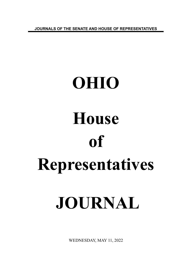**JOURNALS OF THE SENATE AND HOUSE OF REPRESENTATIVES**

# **OHIO House of Representatives JOURNAL**

WEDNESDAY, MAY 11, 2022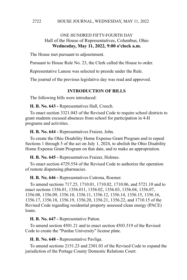## ONE HUNDRED FIFTY-FOURTH DAY Hall of the House of Representatives, Columbus, Ohio **Wednesday, May 11, 2022, 9:00 o'clock a.m.**

The House met pursuant to adjournment.

Pursuant to House Rule No. 23, the Clerk called the House to order.

Representative Lanese was selected to preside under the Rule.

The journal of the previous legislative day was read and approved.

#### **INTRODUCTION OF BILLS**

The following bills were introduced:

**H. B. No. 643 -** Representatives Hall, Creech.

To enact section 3321.043 of the Revised Code to require school districts to grant students excused absences from school for participation in 4-H programs and activities.

**H. B. No. 644 -** Representatives Fraizer, John.

To create the Ohio Disability Home Expense Grant Program and to repeal Sections 1 through 5 of the act on July 1, 2024, to abolish the Ohio Disability Home Expense Grant Program on that date, and to make an appropriation.

**H. B. No. 645 -** Representatives Fraizer, Holmes.

To enact section 4729.554 of the Revised Code to authorize the operation of remote dispensing pharmacies.

**H. B. No. 646 -** Representatives Cutrona, Roemer.

To amend sections 717.25, 1710.01, 1710.02, 1710.06, and 5721.10 and to enact sections 1356.01, 1356.011, 1356.02, 1356.03, 1356.04, 1356.07, 1356.08, 1356.09, 1356.10, 1356.11, 1356.12, 1356.14, 1356.15, 1356.16, 1356.17, 1356.18, 1356.19, 1356.20, 1356.21, 1356.22, and 1710.15 of the Revised Code regarding residential property assessed clean energy (PACE) loans.

**H. B. No. 647 -** Representative Patton.

To amend section 4501.21 and to enact section 4503.519 of the Revised Code to create the "Purdue University" license plate.

**H. B. No. 648 -** Representative Pavliga.

To amend sections 2151.23 and 2301.03 of the Revised Code to expand the jurisdiction of the Portage County Domestic Relations Court.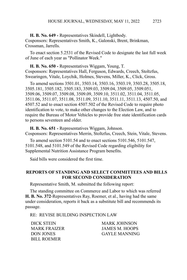**H. B. No. 649 -** Representatives Skindell, Lightbody. Cosponsors: Representatives Smith, K., Galonski, Brent, Brinkman, Crossman, Jarrells.

To enact section 5.2531 of the Revised Code to designate the last full week of June of each year as "Pollinator Week."

**H. B. No. 650 -** Representatives Wiggam, Young, T. Cosponsors: Representatives Hall, Ferguson, Edwards, Creech, Stoltzfus, Swearingen, Vitale, Loychik, Holmes, Stevens, Miller, K., Click, Gross.

To amend sections 3501.01, 3503.14, 3503.16, 3503.19, 3503.28, 3505.18, 3505.181, 3505.182, 3505.183, 3509.03, 3509.04, 3509.05, 3509.051, 3509.06, 3509.07, 3509.08, 3509.09, 3509.10, 3511.02, 3511.04, 3511.05, 3511.06, 3511.07, 3511.08, 3511.09, 3511.10, 3511.11, 3511.13, 4507.50, and 4507.52 and to enact section 4507.502 of the Revised Code to require photo identification to vote, to make other changes to the Election Law, and to require the Bureau of Motor Vehicles to provide free state identification cards to persons seventeen and older.

**H. B. No. 651 -** Representatives Wiggam, Johnson. Cosponsors: Representatives Merrin, Stoltzfus, Creech, Stein, Vitale, Stevens.

To amend section 5101.54 and to enact sections 5101.546, 5101.547, 5101.548, and 5101.549 of the Revised Code regarding eligibility for Supplemental Nutrition Assistance Program benefits.

Said bills were considered the first time.

### **REPORTS OF STANDING AND SELECT COMMITTEES AND BILLS FOR SECOND CONSIDERATION**

Representative Smith, M. submitted the following report:

The standing committee on Commerce and Labor to which was referred **H. B. No. 372**-Representatives Ray, Roemer, et al., having had the same under consideration, reports it back as a substitute bill and recommends its passage.

RE: REVISE BUILDING INSPECTION LAW

BILL ROEMER

DICK STEIN MARK JOHNSON MARK FRAIZER JAMES M. HOOPS DON JONES GAYLE MANNING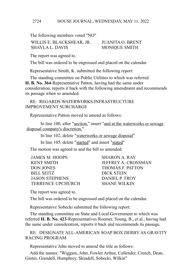The following members voted "NO"

WILLIS E. BLACKSHEAR, JR. JUANITA O. BRENT SHAYLA L. DAVIS MONIQUE SMITH

The report was agreed to.

The bill was ordered to be engrossed and placed on the calendar.

Representative Smith, K. submitted the following report:

The standing committee on Public Utilities to which was referred **H. B. No. 364**-Representative Patton, having had the same under consideration, reports it back with the following amendment and recommends its passage when so amended.

RE: REGARDS WATERWORKS INFRASTRUCTURE IMPROVEMENT SURCHARGE

Representative Patton moved to amend as follows:

In line 100, after "section," insert "and at the waterworks or sewage disposal company's discretion,"

In line 102, delete "waterworks or sewage disposal"

In line 105, delete "started" and insert "stated"

The motion was agreed to and the bill so amended.

| JEFFREY A. CROSSMAN |
|---------------------|
|                     |
|                     |
|                     |
|                     |
|                     |

The report was agreed to.

The bill was ordered to be engrossed and placed on the calendar.

Representative Sobecki submitted the following report:

The standing committee on State and Local Government to which was referred **H. B. No. 423**-Representatives Roemer, Young, B., et al., having had the same under consideration, reports it back and recommends its passage.

RE: DESIGNATE ALL-AMERICAN SOAP BOX DERBY AS GRAVITY RACING PROGRAM

Representative John moved to amend the title as follows:

Add the names: "Wiggam, John, Fowler Arthur, Callender, Creech, Dean, Ginter, Grendell, Humphrey, Skindell, Sobecki, Wilkin"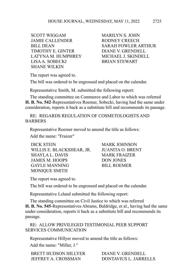SCOTT WIGGAM MARILYN S JOHN JAMIE CALLENDER RODNEY CREECH TIMOTHY E. GINTER DIANE V. GRENDELL LATYNA M. HUMPHREY MICHAEL J. SKINDELL LISA A. SOBECKI BRIAN STEWART SHANE WILKIN

BILL DEAN SARAH FOWLER ARTHUR

The report was agreed to.

The bill was ordered to be engrossed and placed on the calendar.

Representative Smith, M. submitted the following report:

The standing committee on Commerce and Labor to which was referred **H. B. No. 542**-Representatives Roemer, Sobecki, having had the same under consideration, reports it back as a substitute bill and recommends its passage.

RE: REGARDS REGULATION OF COSMETOLOGISTS AND **BARBERS** 

Representative Roemer moved to amend the title as follows:

Add the name: "Fraizer"

DICK STEIN MARK JOHNSON WILLIS E. BLACKSHEAR, JR. JUANITA O. BRENT SHAYLA L. DAVIS MARK FRAIZER JAMES M. HOOPS DON JONES GAYLE MANNING BILL ROEMER MONIQUE SMITH

The report was agreed to.

The bill was ordered to be engrossed and placed on the calendar.

Representative Leland submitted the following report:

The standing committee on Civil Justice to which was referred **H. B. No. 545**-Representatives Abrams, Baldridge, et al., having had the same under consideration, reports it back as a substitute bill and recommends its passage.

RE: ALLOW PRIVILEGED TESTIMONIAL PEER SUPPORT SERVICES COMMUNICATION

Representative Hillyer moved to amend the title as follows: Add the name: "Miller, J."

BRETT HUDSON HILLYER DIANE V. GRENDELL JEFFREY A. CROSSMAN DONTAVIUS L. JARRELLS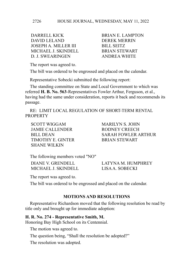DARRELL KICK BRIAN E. LAMPTON DAVID LELAND DEREK MERRIN JOSEPH A MILLER III BILL SEITZ MICHAEL J. SKINDELL BRIAN STEWART D. J. SWEARINGEN ANDREA WHITE

The report was agreed to.

The bill was ordered to be engrossed and placed on the calendar.

Representative Sobecki submitted the following report:

The standing committee on State and Local Government to which was referred **H. B. No. 563**-Representatives Fowler Arthur, Ferguson, et al., having had the same under consideration, reports it back and recommends its passage.

RE: LIMIT LOCAL REGULATION OF SHORT-TERM RENTAL **PROPERTY** 

SCOTT WIGGAM MARILYN S. JOHN JAMIE CALLENDER RODNEY CREECH TIMOTHY E. GINTER BRIAN STEWART SHANE WILKIN

BILL DEAN SARAH FOWLER ARTHUR

The following members voted "NO"

MICHAEL J. SKINDELL LISA A. SOBECKI

DIANE V. GRENDELL LATYNA M. HUMPHREY

The report was agreed to.

The bill was ordered to be engrossed and placed on the calendar.

## **MOTIONS AND RESOLUTIONS**

Representative Richardson moved that the following resolution be read by title only and brought up for immediate adoption:

#### **H. R. No. 274 - Representative Smith, M.**

Honoring Bay High School on its Centennial.

The motion was agreed to.

The question being, "Shall the resolution be adopted?"

The resolution was adopted.